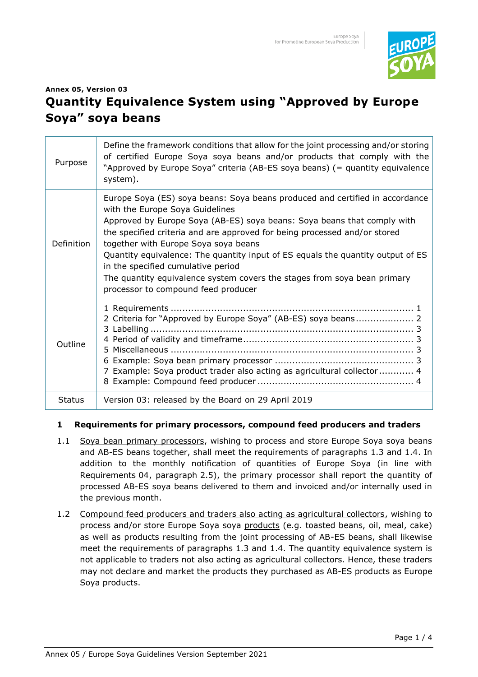

# **Annex 05, Version 03 Quantity Equivalence System using "Approved by Europe Soya" soya beans**

| Purpose           | Define the framework conditions that allow for the joint processing and/or storing<br>of certified Europe Soya soya beans and/or products that comply with the<br>"Approved by Europe Soya" criteria (AB-ES soya beans) (= quantity equivalence<br>system).                                                                                                                                                                                                                                                                                                 |
|-------------------|-------------------------------------------------------------------------------------------------------------------------------------------------------------------------------------------------------------------------------------------------------------------------------------------------------------------------------------------------------------------------------------------------------------------------------------------------------------------------------------------------------------------------------------------------------------|
| <b>Definition</b> | Europe Soya (ES) soya beans: Soya beans produced and certified in accordance<br>with the Europe Soya Guidelines<br>Approved by Europe Soya (AB-ES) soya beans: Soya beans that comply with<br>the specified criteria and are approved for being processed and/or stored<br>together with Europe Soya soya beans<br>Quantity equivalence: The quantity input of ES equals the quantity output of ES<br>in the specified cumulative period<br>The quantity equivalence system covers the stages from soya bean primary<br>processor to compound feed producer |
| Outline           | 2 Criteria for "Approved by Europe Soya" (AB-ES) soya beans 2<br>7 Example: Soya product trader also acting as agricultural collector 4                                                                                                                                                                                                                                                                                                                                                                                                                     |
| <b>Status</b>     | Version 03: released by the Board on 29 April 2019                                                                                                                                                                                                                                                                                                                                                                                                                                                                                                          |

#### **1 Requirements for primary processors, compound feed producers and traders**

- 1.1 Soya bean primary processors, wishing to process and store Europe Soya soya beans and AB-ES beans together, shall meet the requirements of paragraphs 1.3 and 1.4. In addition to the monthly notification of quantities of Europe Soya (in line with Requirements 04, paragraph 2.5), the primary processor shall report the quantity of processed AB-ES soya beans delivered to them and invoiced and/or internally used in the previous month.
- 1.2 Compound feed producers and traders also acting as agricultural collectors, wishing to process and/or store Europe Soya soya products (e.g. toasted beans, oil, meal, cake) as well as products resulting from the joint processing of AB-ES beans, shall likewise meet the requirements of paragraphs 1.3 and 1.4. The quantity equivalence system is not applicable to traders not also acting as agricultural collectors. Hence, these traders may not declare and market the products they purchased as AB-ES products as Europe Soya products.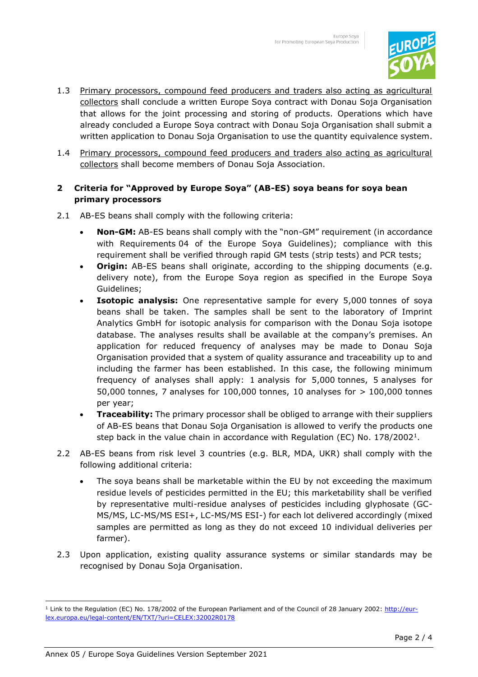

- 1.3 Primary processors, compound feed producers and traders also acting as agricultural collectors shall conclude a written Europe Soya contract with Donau Soja Organisation that allows for the joint processing and storing of products. Operations which have already concluded a Europe Soya contract with Donau Soja Organisation shall submit a written application to Donau Soja Organisation to use the quantity equivalence system.
- 1.4 Primary processors, compound feed producers and traders also acting as agricultural collectors shall become members of Donau Soja Association.

## **2 Criteria for "Approved by Europe Soya" (AB-ES) soya beans for soya bean primary processors**

- 2.1 AB-ES beans shall comply with the following criteria:
	- **Non-GM:** AB-ES beans shall comply with the "non-GM" requirement (in accordance with Requirements 04 of the Europe Soya Guidelines); compliance with this requirement shall be verified through rapid GM tests (strip tests) and PCR tests;
	- **Origin:** AB-ES beans shall originate, according to the shipping documents (e.g. delivery note), from the Europe Soya region as specified in the Europe Soya Guidelines;
	- **Isotopic analysis:** One representative sample for every 5,000 tonnes of soya beans shall be taken. The samples shall be sent to the laboratory of Imprint Analytics GmbH for isotopic analysis for comparison with the Donau Soja isotope database. The analyses results shall be available at the company's premises. An application for reduced frequency of analyses may be made to Donau Soja Organisation provided that a system of quality assurance and traceability up to and including the farmer has been established. In this case, the following minimum frequency of analyses shall apply: 1 analysis for 5,000 tonnes, 5 analyses for 50,000 tonnes, 7 analyses for 100,000 tonnes, 10 analyses for > 100,000 tonnes per year;
	- **Traceability:** The primary processor shall be obliged to arrange with their suppliers of AB-ES beans that Donau Soja Organisation is allowed to verify the products one step back in the value chain in accordance with Regulation (EC) No. 178/2002<sup>1</sup>.
- 2.2 AB-ES beans from risk level 3 countries (e.g. BLR, MDA, UKR) shall comply with the following additional criteria:
	- The soya beans shall be marketable within the EU by not exceeding the maximum residue levels of pesticides permitted in the EU; this marketability shall be verified by representative multi-residue analyses of pesticides including glyphosate (GC-MS/MS, LC-MS/MS ESI+, LC-MS/MS ESI-) for each lot delivered accordingly (mixed samples are permitted as long as they do not exceed 10 individual deliveries per farmer).
- 2.3 Upon application, existing quality assurance systems or similar standards may be recognised by Donau Soja Organisation.

<sup>&</sup>lt;sup>1</sup> Link to the Regulation (EC) No. 178/2002 of the European Parliament and of the Council of 28 January 2002: <u>http://eur-</u> [lex.europa.eu/legal-content/EN/TXT/?uri=CELEX:32002R0178](http://eur-lex.europa.eu/legal-content/EN/TXT/?uri=CELEX:32002R0178)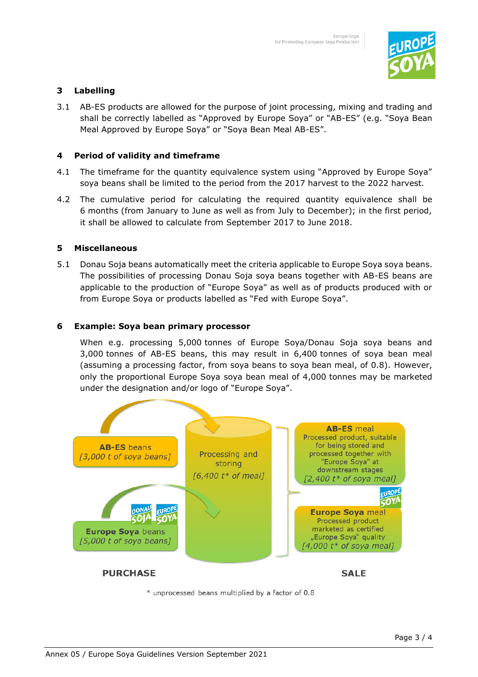

## **3 Labelling**

3.1 AB-ES products are allowed for the purpose of joint processing, mixing and trading and shall be correctly labelled as "Approved by Europe Soya" or "AB-ES" (e.g. "Soya Bean Meal Approved by Europe Soya" or "Soya Bean Meal AB-ES".

#### **4 Period of validity and timeframe**

- 4.1 The timeframe for the quantity equivalence system using "Approved by Europe Soya" soya beans shall be limited to the period from the 2017 harvest to the 2022 harvest.
- 4.2 The cumulative period for calculating the required quantity equivalence shall be 6 months (from January to June as well as from July to December); in the first period, it shall be allowed to calculate from September 2017 to June 2018.

#### **5 Miscellaneous**

5.1 Donau Soja beans automatically meet the criteria applicable to Europe Soya soya beans. The possibilities of processing Donau Soja soya beans together with AB-ES beans are applicable to the production of "Europe Soya" as well as of products produced with or from Europe Soya or products labelled as "Fed with Europe Soya".

#### **6 Example: Soya bean primary processor**

When e.g. processing 5,000 tonnes of Europe Soya/Donau Soja soya beans and 3,000 tonnes of AB-ES beans, this may result in 6,400 tonnes of soya bean meal (assuming a processing factor, from soya beans to soya bean meal, of 0.8). However, only the proportional Europe Soya soya bean meal of 4,000 tonnes may be marketed under the designation and/or logo of "Europe Soya".



\* unprocessed beans multiplied by a factor of 0.8